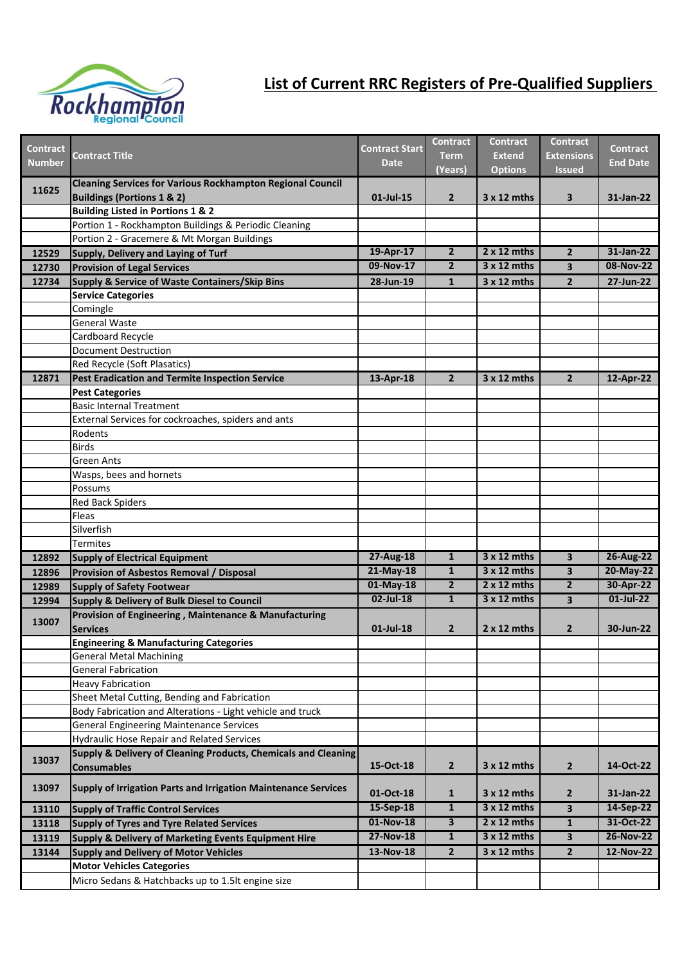

## **List of Current RRC Registers of Pre-Qualified Suppliers**

| <b>Contract</b> |                                                                                                               | <b>Contract Start</b> | <b>Contract</b> | <b>Contract</b>    | <b>Contract</b>         | <b>Contract</b>  |
|-----------------|---------------------------------------------------------------------------------------------------------------|-----------------------|-----------------|--------------------|-------------------------|------------------|
| Number          | <b>Contract Title</b>                                                                                         | <b>Date</b>           | <b>Term</b>     | <b>Extend</b>      | <b>Extensions</b>       | <b>End Date</b>  |
|                 |                                                                                                               |                       | (Years)         | <b>Options</b>     | <b>Issued</b>           |                  |
| 11625           | <b>Cleaning Services for Various Rockhampton Regional Council</b>                                             |                       |                 |                    |                         |                  |
|                 | <b>Buildings (Portions 1 &amp; 2)</b>                                                                         | 01-Jul-15             | $\overline{2}$  | $3x12$ mths        | $\overline{\mathbf{3}}$ | 31-Jan-22        |
|                 | <b>Building Listed in Portions 1 &amp; 2</b>                                                                  |                       |                 |                    |                         |                  |
|                 | Portion 1 - Rockhampton Buildings & Periodic Cleaning                                                         |                       |                 |                    |                         |                  |
|                 | Portion 2 - Gracemere & Mt Morgan Buildings                                                                   |                       |                 |                    |                         | $31$ -Jan-22     |
| 12529           | Supply, Delivery and Laying of Turf                                                                           | 19-Apr-17             | $\overline{2}$  | $2 \times 12$ mths | $\overline{2}$          |                  |
| 12730           | <b>Provision of Legal Services</b>                                                                            | 09-Nov-17             | $\overline{2}$  | $3x12$ mths        | $\overline{\mathbf{3}}$ | 08-Nov-22        |
| 12734           | <b>Supply &amp; Service of Waste Containers/Skip Bins</b>                                                     | 28-Jun-19             | $\mathbf{1}$    | 3 x 12 mths        | $\overline{2}$          | 27-Jun-22        |
|                 | <b>Service Categories</b>                                                                                     |                       |                 |                    |                         |                  |
|                 | Comingle                                                                                                      |                       |                 |                    |                         |                  |
|                 | <b>General Waste</b>                                                                                          |                       |                 |                    |                         |                  |
|                 | Cardboard Recycle                                                                                             |                       |                 |                    |                         |                  |
|                 | <b>Document Destruction</b>                                                                                   |                       |                 |                    |                         |                  |
|                 | Red Recycle (Soft Plasatics)                                                                                  |                       |                 |                    |                         |                  |
| 12871           | Pest Eradication and Termite Inspection Service                                                               | 13-Apr-18             | $\overline{2}$  | 3 x 12 mths        | $\overline{2}$          | 12-Apr-22        |
|                 | <b>Pest Categories</b>                                                                                        |                       |                 |                    |                         |                  |
|                 | <b>Basic Internal Treatment</b>                                                                               |                       |                 |                    |                         |                  |
|                 | External Services for cockroaches, spiders and ants                                                           |                       |                 |                    |                         |                  |
|                 | Rodents                                                                                                       |                       |                 |                    |                         |                  |
|                 | <b>Birds</b>                                                                                                  |                       |                 |                    |                         |                  |
|                 | <b>Green Ants</b>                                                                                             |                       |                 |                    |                         |                  |
|                 | Wasps, bees and hornets                                                                                       |                       |                 |                    |                         |                  |
|                 | Possums                                                                                                       |                       |                 |                    |                         |                  |
|                 | <b>Red Back Spiders</b>                                                                                       |                       |                 |                    |                         |                  |
|                 | Fleas                                                                                                         |                       |                 |                    |                         |                  |
|                 | Silverfish                                                                                                    |                       |                 |                    |                         |                  |
|                 | <b>Termites</b>                                                                                               |                       |                 |                    |                         |                  |
| 12892           | <b>Supply of Electrical Equipment</b>                                                                         | 27-Aug-18             | $\mathbf{1}$    | $3x12$ mths        | $\overline{\mathbf{3}}$ | 26-Aug-22        |
| 12896           | <b>Provision of Asbestos Removal / Disposal</b>                                                               | $21-May-18$           | $\mathbf{1}$    | $3x12$ mths        | $\overline{\mathbf{3}}$ | 20-May-22        |
| 12989           | <b>Supply of Safety Footwear</b>                                                                              | $01$ -May-18          | $\mathbf{2}$    | $2 \times 12$ mths | $\overline{2}$          | 30-Apr-22        |
| 12994           | <b>Supply &amp; Delivery of Bulk Diesel to Council</b>                                                        | 02-Jul-18             | $\mathbf{1}$    | $3x12$ mths        | 3                       | $01$ -Jul-22     |
|                 | Provision of Engineering, Maintenance & Manufacturing                                                         |                       |                 |                    |                         |                  |
| 13007           | <b>Services</b>                                                                                               | $01$ -Jul-18          | $\overline{2}$  | $2 \times 12$ mths | $\overline{2}$          | 30-Jun-22        |
|                 | <b>Engineering &amp; Manufacturing Categories</b>                                                             |                       |                 |                    |                         |                  |
|                 | <b>General Metal Machining</b>                                                                                |                       |                 |                    |                         |                  |
|                 | <b>General Fabrication</b>                                                                                    |                       |                 |                    |                         |                  |
|                 | <b>Heavy Fabrication</b>                                                                                      |                       |                 |                    |                         |                  |
|                 | Sheet Metal Cutting, Bending and Fabrication                                                                  |                       |                 |                    |                         |                  |
|                 |                                                                                                               |                       |                 |                    |                         |                  |
|                 | Body Fabrication and Alterations - Light vehicle and truck<br><b>General Engineering Maintenance Services</b> |                       |                 |                    |                         |                  |
|                 |                                                                                                               |                       |                 |                    |                         |                  |
|                 | <b>Hydraulic Hose Repair and Related Services</b>                                                             |                       |                 |                    |                         |                  |
| 13037           | Supply & Delivery of Cleaning Products, Chemicals and Cleaning                                                | 15-Oct-18             | $\mathbf{2}$    | 3 x 12 mths        | $\overline{2}$          | 14-Oct-22        |
|                 | <b>Consumables</b>                                                                                            |                       |                 |                    |                         |                  |
| 13097           | <b>Supply of Irrigation Parts and Irrigation Maintenance Services</b>                                         |                       |                 |                    |                         |                  |
|                 |                                                                                                               | 01-Oct-18             | $\mathbf{1}$    | $3x12$ mths        | $\overline{2}$          | 31-Jan-22        |
| 13110           | <b>Supply of Traffic Control Services</b>                                                                     | 15-Sep-18             | $\mathbf{1}$    | $3x12$ mths        | 3                       | 14-Sep-22        |
| 13118           | <b>Supply of Tyres and Tyre Related Services</b>                                                              | 01-Nov-18             | 3               | $2 \times 12$ mths | $\mathbf{1}$            | 31-Oct-22        |
| 13119           | Supply & Delivery of Marketing Events Equipment Hire                                                          | 27-Nov-18             | $\mathbf{1}$    | $3x12$ mths        | 3                       | <b>26-Nov-22</b> |
| 13144           | <b>Supply and Delivery of Motor Vehicles</b>                                                                  | 13-Nov-18             | $\mathbf{2}$    | 3 x 12 mths        | $\overline{2}$          | 12-Nov-22        |
|                 | <b>Motor Vehicles Categories</b>                                                                              |                       |                 |                    |                         |                  |
|                 | Micro Sedans & Hatchbacks up to 1.5lt engine size                                                             |                       |                 |                    |                         |                  |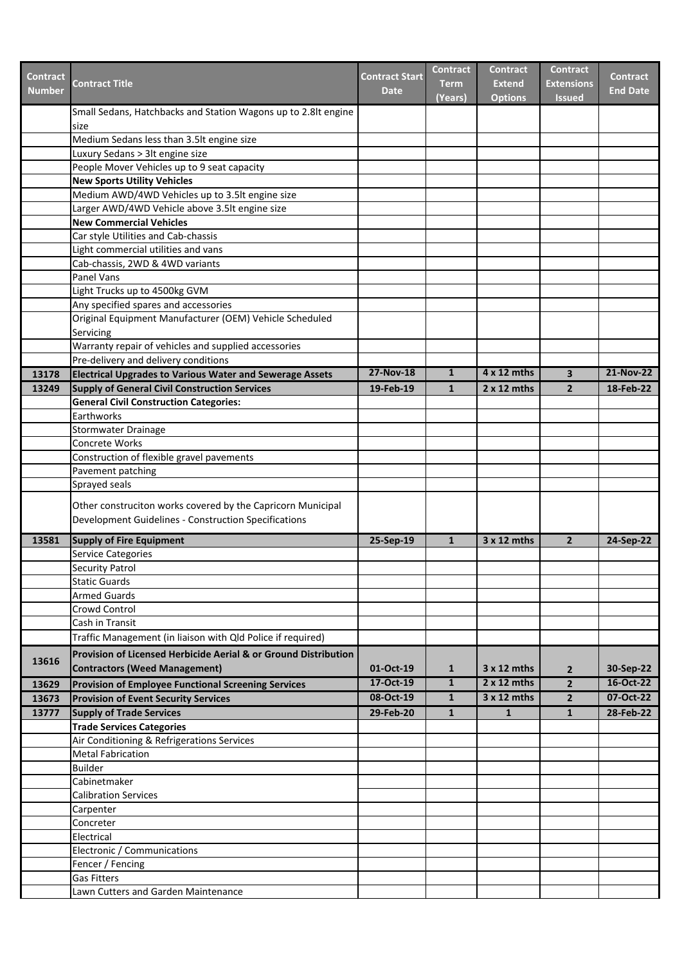| <b>Contract</b><br><b>Number</b> | <b>Contract Title</b>                                                                                 | <b>Contract Start</b><br><b>Date</b> | <b>Contract</b><br><b>Term</b><br>(Years) | <b>Contract</b><br><b>Extend</b><br><b>Options</b> | <b>Contract</b><br><b>Extensions</b><br><b>Issued</b> | <b>Contract</b><br><b>End Date</b> |
|----------------------------------|-------------------------------------------------------------------------------------------------------|--------------------------------------|-------------------------------------------|----------------------------------------------------|-------------------------------------------------------|------------------------------------|
|                                  | Small Sedans, Hatchbacks and Station Wagons up to 2.8lt engine                                        |                                      |                                           |                                                    |                                                       |                                    |
|                                  | size                                                                                                  |                                      |                                           |                                                    |                                                       |                                    |
|                                  | Medium Sedans less than 3.5lt engine size                                                             |                                      |                                           |                                                    |                                                       |                                    |
|                                  | Luxury Sedans > 3lt engine size                                                                       |                                      |                                           |                                                    |                                                       |                                    |
|                                  | People Mover Vehicles up to 9 seat capacity                                                           |                                      |                                           |                                                    |                                                       |                                    |
|                                  | <b>New Sports Utility Vehicles</b><br>Medium AWD/4WD Vehicles up to 3.5lt engine size                 |                                      |                                           |                                                    |                                                       |                                    |
|                                  | Larger AWD/4WD Vehicle above 3.5lt engine size                                                        |                                      |                                           |                                                    |                                                       |                                    |
|                                  | <b>New Commercial Vehicles</b>                                                                        |                                      |                                           |                                                    |                                                       |                                    |
|                                  | Car style Utilities and Cab-chassis                                                                   |                                      |                                           |                                                    |                                                       |                                    |
|                                  | Light commercial utilities and vans                                                                   |                                      |                                           |                                                    |                                                       |                                    |
|                                  | Cab-chassis, 2WD & 4WD variants                                                                       |                                      |                                           |                                                    |                                                       |                                    |
|                                  | <b>Panel Vans</b>                                                                                     |                                      |                                           |                                                    |                                                       |                                    |
|                                  | Light Trucks up to 4500kg GVM                                                                         |                                      |                                           |                                                    |                                                       |                                    |
|                                  | Any specified spares and accessories                                                                  |                                      |                                           |                                                    |                                                       |                                    |
|                                  | Original Equipment Manufacturer (OEM) Vehicle Scheduled                                               |                                      |                                           |                                                    |                                                       |                                    |
|                                  | Servicing                                                                                             |                                      |                                           |                                                    |                                                       |                                    |
|                                  | Warranty repair of vehicles and supplied accessories                                                  |                                      |                                           |                                                    |                                                       |                                    |
|                                  | Pre-delivery and delivery conditions                                                                  | 27-Nov-18                            |                                           | 4 x 12 mths                                        |                                                       | 21-Nov-22                          |
| 13178                            | <b>Electrical Upgrades to Various Water and Sewerage Assets</b>                                       |                                      | $\mathbf{1}$                              |                                                    | $\overline{\mathbf{3}}$                               |                                    |
| 13249                            | <b>Supply of General Civil Construction Services</b><br><b>General Civil Construction Categories:</b> | 19-Feb-19                            | $\mathbf{1}$                              | $2 \times 12$ mths                                 | $\overline{2}$                                        | 18-Feb-22                          |
|                                  | Earthworks                                                                                            |                                      |                                           |                                                    |                                                       |                                    |
|                                  | Stormwater Drainage                                                                                   |                                      |                                           |                                                    |                                                       |                                    |
|                                  | Concrete Works                                                                                        |                                      |                                           |                                                    |                                                       |                                    |
|                                  | Construction of flexible gravel pavements                                                             |                                      |                                           |                                                    |                                                       |                                    |
|                                  | Pavement patching                                                                                     |                                      |                                           |                                                    |                                                       |                                    |
|                                  | Sprayed seals                                                                                         |                                      |                                           |                                                    |                                                       |                                    |
|                                  | Other construciton works covered by the Capricorn Municipal                                           |                                      |                                           |                                                    |                                                       |                                    |
|                                  | Development Guidelines - Construction Specifications                                                  |                                      |                                           |                                                    |                                                       |                                    |
| 13581                            | Supply of Fire Equipment                                                                              | 25-Sep-19                            | $\mathbf{1}$                              | $3x12$ mths                                        | $\mathbf{2}$                                          | 24-Sep-22                          |
|                                  | <b>Service Categories</b>                                                                             |                                      |                                           |                                                    |                                                       |                                    |
|                                  | <b>Security Patrol</b>                                                                                |                                      |                                           |                                                    |                                                       |                                    |
|                                  | <b>Static Guards</b>                                                                                  |                                      |                                           |                                                    |                                                       |                                    |
|                                  | <b>Armed Guards</b>                                                                                   |                                      |                                           |                                                    |                                                       |                                    |
|                                  | Crowd Control                                                                                         |                                      |                                           |                                                    |                                                       |                                    |
|                                  | Cash in Transit                                                                                       |                                      |                                           |                                                    |                                                       |                                    |
|                                  | Traffic Management (in liaison with Qld Police if required)                                           |                                      |                                           |                                                    |                                                       |                                    |
| 13616                            | Provision of Licensed Herbicide Aerial & or Ground Distribution                                       |                                      |                                           |                                                    |                                                       |                                    |
|                                  | <b>Contractors (Weed Management)</b>                                                                  | 01-Oct-19                            | $\mathbf{1}$                              | $3x12$ mths                                        | $\overline{2}$                                        | 30-Sep-22                          |
| 13629                            | <b>Provision of Employee Functional Screening Services</b>                                            | 17-Oct-19                            | $\mathbf{1}$                              | $2 \times 12$ mths                                 | $\overline{2}$                                        | 16-Oct-22                          |
| 13673                            | <b>Provision of Event Security Services</b>                                                           | 08-Oct-19                            | $\mathbf{1}$                              | $3x12$ mths                                        | $\overline{2}$                                        | 07-Oct-22                          |
| 13777                            | <b>Supply of Trade Services</b>                                                                       | 29-Feb-20                            | $\mathbf{1}$                              | $\mathbf{1}$                                       | $\mathbf{1}$                                          | 28-Feb-22                          |
|                                  | <b>Trade Services Categories</b>                                                                      |                                      |                                           |                                                    |                                                       |                                    |
|                                  | Air Conditioning & Refrigerations Services<br><b>Metal Fabrication</b>                                |                                      |                                           |                                                    |                                                       |                                    |
|                                  | <b>Builder</b>                                                                                        |                                      |                                           |                                                    |                                                       |                                    |
|                                  | Cabinetmaker                                                                                          |                                      |                                           |                                                    |                                                       |                                    |
|                                  | <b>Calibration Services</b>                                                                           |                                      |                                           |                                                    |                                                       |                                    |
|                                  | Carpenter                                                                                             |                                      |                                           |                                                    |                                                       |                                    |
|                                  | Concreter                                                                                             |                                      |                                           |                                                    |                                                       |                                    |
|                                  | Electrical                                                                                            |                                      |                                           |                                                    |                                                       |                                    |
|                                  | Electronic / Communications                                                                           |                                      |                                           |                                                    |                                                       |                                    |
|                                  | Fencer / Fencing                                                                                      |                                      |                                           |                                                    |                                                       |                                    |
|                                  | <b>Gas Fitters</b>                                                                                    |                                      |                                           |                                                    |                                                       |                                    |
|                                  | Lawn Cutters and Garden Maintenance                                                                   |                                      |                                           |                                                    |                                                       |                                    |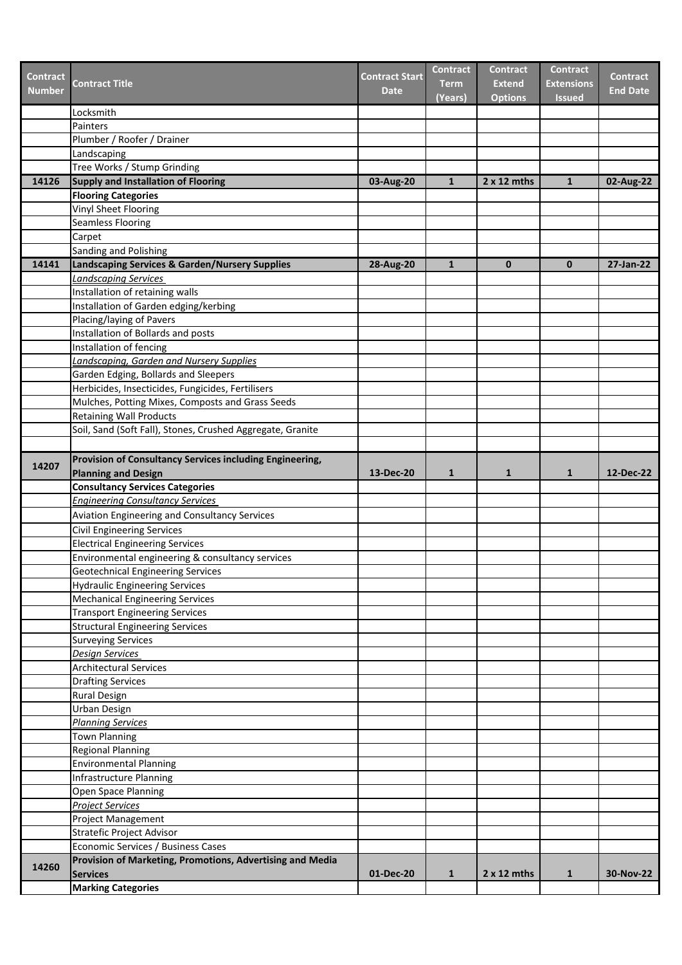| <b>Contract</b><br>Number | <b>Contract Title</b>                                                                           | <b>Contract Start</b><br><b>Date</b> | <b>Contract</b><br><b>Term</b> | <b>Contract</b><br><b>Extend</b> | <b>Contract</b><br><b>Extensions</b> | <b>Contract</b><br><b>End Date</b> |
|---------------------------|-------------------------------------------------------------------------------------------------|--------------------------------------|--------------------------------|----------------------------------|--------------------------------------|------------------------------------|
|                           |                                                                                                 |                                      | (Years)                        | <b>Options</b>                   | <b>Issued</b>                        |                                    |
|                           | Locksmith                                                                                       |                                      |                                |                                  |                                      |                                    |
|                           | Painters<br>Plumber / Roofer / Drainer                                                          |                                      |                                |                                  |                                      |                                    |
|                           | Landscaping                                                                                     |                                      |                                |                                  |                                      |                                    |
|                           | Tree Works / Stump Grinding                                                                     |                                      |                                |                                  |                                      |                                    |
| 14126                     | Supply and Installation of Flooring                                                             | 03-Aug-20                            | $\mathbf{1}$                   | $2 \times 12$ mths               | $\mathbf{1}$                         | 02-Aug-22                          |
|                           | <b>Flooring Categories</b>                                                                      |                                      |                                |                                  |                                      |                                    |
|                           | Vinyl Sheet Flooring                                                                            |                                      |                                |                                  |                                      |                                    |
|                           | <b>Seamless Flooring</b>                                                                        |                                      |                                |                                  |                                      |                                    |
|                           | Carpet                                                                                          |                                      |                                |                                  |                                      |                                    |
|                           | Sanding and Polishing                                                                           |                                      |                                |                                  |                                      |                                    |
| 14141                     | Landscaping Services & Garden/Nursery Supplies                                                  | 28-Aug-20                            | $\mathbf{1}$                   | $\mathbf{0}$                     | $\mathbf{0}$                         | 27-Jan-22                          |
|                           | Landscaping Services                                                                            |                                      |                                |                                  |                                      |                                    |
|                           | Installation of retaining walls                                                                 |                                      |                                |                                  |                                      |                                    |
|                           | Installation of Garden edging/kerbing                                                           |                                      |                                |                                  |                                      |                                    |
|                           | Placing/laying of Pavers                                                                        |                                      |                                |                                  |                                      |                                    |
|                           | Installation of Bollards and posts                                                              |                                      |                                |                                  |                                      |                                    |
|                           | Installation of fencing                                                                         |                                      |                                |                                  |                                      |                                    |
|                           | Landscaping, Garden and Nursery Supplies                                                        |                                      |                                |                                  |                                      |                                    |
|                           | Garden Edging, Bollards and Sleepers                                                            |                                      |                                |                                  |                                      |                                    |
|                           | Herbicides, Insecticides, Fungicides, Fertilisers                                               |                                      |                                |                                  |                                      |                                    |
|                           | Mulches, Potting Mixes, Composts and Grass Seeds                                                |                                      |                                |                                  |                                      |                                    |
|                           | <b>Retaining Wall Products</b>                                                                  |                                      |                                |                                  |                                      |                                    |
|                           | Soil, Sand (Soft Fall), Stones, Crushed Aggregate, Granite                                      |                                      |                                |                                  |                                      |                                    |
|                           |                                                                                                 |                                      |                                |                                  |                                      |                                    |
| 14207                     | Provision of Consultancy Services including Engineering,                                        |                                      |                                |                                  |                                      |                                    |
|                           | <b>Planning and Design</b>                                                                      | 13-Dec-20                            | $\mathbf{1}$                   | $\mathbf{1}$                     | $\mathbf{1}$                         | 12-Dec-22                          |
|                           | <b>Consultancy Services Categories</b>                                                          |                                      |                                |                                  |                                      |                                    |
|                           | <b>Engineering Consultancy Services</b>                                                         |                                      |                                |                                  |                                      |                                    |
|                           | Aviation Engineering and Consultancy Services                                                   |                                      |                                |                                  |                                      |                                    |
|                           | <b>Civil Engineering Services</b>                                                               |                                      |                                |                                  |                                      |                                    |
|                           | <b>Electrical Engineering Services</b>                                                          |                                      |                                |                                  |                                      |                                    |
|                           | Environmental engineering & consultancy services<br><b>Geotechnical Engineering Services</b>    |                                      |                                |                                  |                                      |                                    |
|                           | <b>Hydraulic Engineering Services</b>                                                           |                                      |                                |                                  |                                      |                                    |
|                           | <b>Mechanical Engineering Services</b>                                                          |                                      |                                |                                  |                                      |                                    |
|                           | <b>Transport Engineering Services</b>                                                           |                                      |                                |                                  |                                      |                                    |
|                           | <b>Structural Engineering Services</b>                                                          |                                      |                                |                                  |                                      |                                    |
|                           | <b>Surveying Services</b>                                                                       |                                      |                                |                                  |                                      |                                    |
|                           | Design Services                                                                                 |                                      |                                |                                  |                                      |                                    |
|                           | <b>Architectural Services</b>                                                                   |                                      |                                |                                  |                                      |                                    |
|                           | <b>Drafting Services</b>                                                                        |                                      |                                |                                  |                                      |                                    |
|                           | <b>Rural Design</b>                                                                             |                                      |                                |                                  |                                      |                                    |
|                           | Urban Design                                                                                    |                                      |                                |                                  |                                      |                                    |
|                           | <b>Planning Services</b>                                                                        |                                      |                                |                                  |                                      |                                    |
|                           | <b>Town Planning</b>                                                                            |                                      |                                |                                  |                                      |                                    |
|                           | <b>Regional Planning</b>                                                                        |                                      |                                |                                  |                                      |                                    |
|                           | <b>Environmental Planning</b>                                                                   |                                      |                                |                                  |                                      |                                    |
|                           | Infrastructure Planning                                                                         |                                      |                                |                                  |                                      |                                    |
|                           | Open Space Planning                                                                             |                                      |                                |                                  |                                      |                                    |
|                           | <b>Project Services</b>                                                                         |                                      |                                |                                  |                                      |                                    |
|                           | <b>Project Management</b>                                                                       |                                      |                                |                                  |                                      |                                    |
|                           | Stratefic Project Advisor                                                                       |                                      |                                |                                  |                                      |                                    |
|                           | Economic Services / Business Cases<br>Provision of Marketing, Promotions, Advertising and Media |                                      |                                |                                  |                                      |                                    |
| 14260                     | <b>Services</b>                                                                                 | 01-Dec-20                            | $\mathbf{1}$                   | $2 \times 12$ mths               | $\mathbf{1}$                         | 30-Nov-22                          |
|                           | <b>Marking Categories</b>                                                                       |                                      |                                |                                  |                                      |                                    |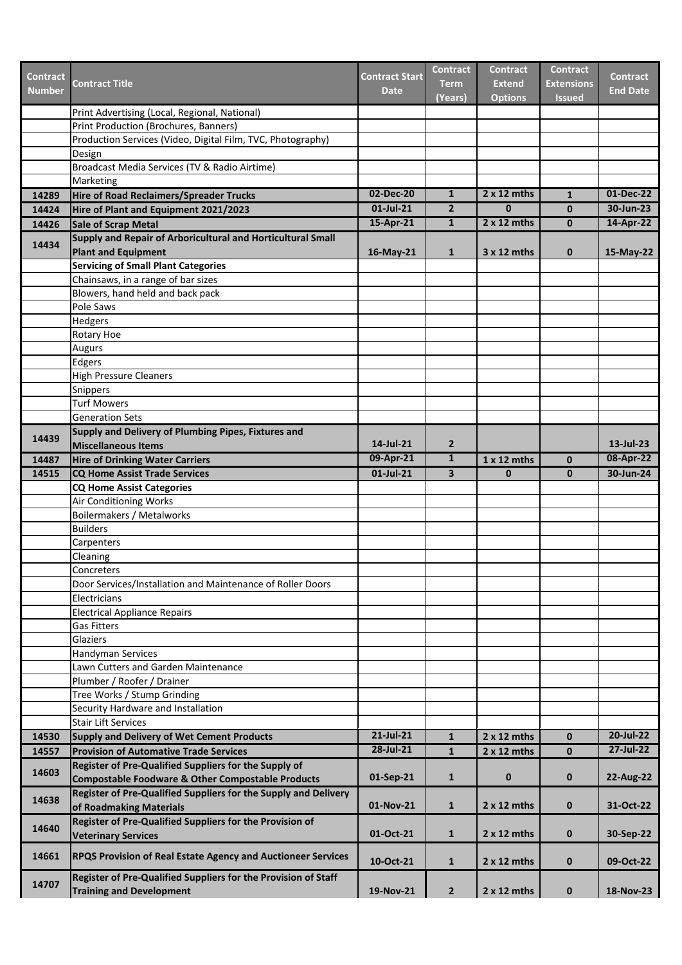| <b>Contract</b><br><b>Number</b> | <b>Contract Title</b>                                                                             | <b>Contract Start</b><br><b>Date</b> | <b>Contract</b><br><b>Term</b><br>(Years) | <b>Contract</b><br><b>Extend</b><br><b>Options</b> | <b>Contract</b><br><b>Extensions</b><br><b>Issued</b> | <b>Contract</b><br><b>End Date</b> |
|----------------------------------|---------------------------------------------------------------------------------------------------|--------------------------------------|-------------------------------------------|----------------------------------------------------|-------------------------------------------------------|------------------------------------|
|                                  | Print Advertising (Local, Regional, National)                                                     |                                      |                                           |                                                    |                                                       |                                    |
|                                  | Print Production (Brochures, Banners)                                                             |                                      |                                           |                                                    |                                                       |                                    |
|                                  | Production Services (Video, Digital Film, TVC, Photography)                                       |                                      |                                           |                                                    |                                                       |                                    |
|                                  | Design                                                                                            |                                      |                                           |                                                    |                                                       |                                    |
|                                  | Broadcast Media Services (TV & Radio Airtime)                                                     |                                      |                                           |                                                    |                                                       |                                    |
|                                  | Marketing                                                                                         |                                      |                                           |                                                    |                                                       |                                    |
| 14289                            | Hire of Road Reclaimers/Spreader Trucks                                                           | 02-Dec-20                            | $\mathbf{1}$                              | $2 \times 12$ mths                                 | $\mathbf{1}$                                          | 01-Dec-22                          |
| 14424                            | Hire of Plant and Equipment 2021/2023                                                             | $01$ -Jul-21                         | $\overline{2}$                            | $\bf{0}$                                           | $\mathbf{0}$                                          | 30-Jun-23                          |
| 14426                            | <b>Sale of Scrap Metal</b>                                                                        | 15-Apr-21                            | $\mathbf{1}$                              | $2 \times 12$ mths                                 | $\mathbf{0}$                                          | 14-Apr-22                          |
| 14434                            | Supply and Repair of Arboricultural and Horticultural Small                                       |                                      |                                           |                                                    |                                                       |                                    |
|                                  | <b>Plant and Equipment</b>                                                                        | 16-May-21                            | $\mathbf{1}$                              | 3 x 12 mths                                        | $\mathbf{0}$                                          | 15-May-22                          |
|                                  | <b>Servicing of Small Plant Categories</b>                                                        |                                      |                                           |                                                    |                                                       |                                    |
|                                  | Chainsaws, in a range of bar sizes                                                                |                                      |                                           |                                                    |                                                       |                                    |
|                                  | Blowers, hand held and back pack                                                                  |                                      |                                           |                                                    |                                                       |                                    |
|                                  | Pole Saws                                                                                         |                                      |                                           |                                                    |                                                       |                                    |
|                                  | Hedgers                                                                                           |                                      |                                           |                                                    |                                                       |                                    |
|                                  | Rotary Hoe                                                                                        |                                      |                                           |                                                    |                                                       |                                    |
|                                  | Augurs                                                                                            |                                      |                                           |                                                    |                                                       |                                    |
|                                  | Edgers                                                                                            |                                      |                                           |                                                    |                                                       |                                    |
|                                  | High Pressure Cleaners                                                                            |                                      |                                           |                                                    |                                                       |                                    |
|                                  | Snippers                                                                                          |                                      |                                           |                                                    |                                                       |                                    |
|                                  | <b>Turf Mowers</b>                                                                                |                                      |                                           |                                                    |                                                       |                                    |
|                                  | <b>Generation Sets</b>                                                                            |                                      |                                           |                                                    |                                                       |                                    |
| 14439                            | Supply and Delivery of Plumbing Pipes, Fixtures and                                               | 14-Jul-21                            | $\mathbf{2}$                              |                                                    |                                                       | 13-Jul-23                          |
|                                  | <b>Miscellaneous Items</b>                                                                        | 09-Apr-21                            | $\mathbf{1}$                              |                                                    |                                                       | 08-Apr-22                          |
| 14487                            | <b>Hire of Drinking Water Carriers</b>                                                            |                                      |                                           | 1 x 12 mths                                        | $\bf{0}$                                              |                                    |
| 14515                            | CQ Home Assist Trade Services                                                                     | $01$ -Jul-21                         | 3                                         | $\bf{0}$                                           | $\mathbf{0}$                                          | 30-Jun-24                          |
|                                  | <b>CQ Home Assist Categories</b>                                                                  |                                      |                                           |                                                    |                                                       |                                    |
|                                  | Air Conditioning Works<br>Boilermakers / Metalworks                                               |                                      |                                           |                                                    |                                                       |                                    |
|                                  | <b>Builders</b>                                                                                   |                                      |                                           |                                                    |                                                       |                                    |
|                                  | Carpenters                                                                                        |                                      |                                           |                                                    |                                                       |                                    |
|                                  | Cleaning                                                                                          |                                      |                                           |                                                    |                                                       |                                    |
|                                  | Concreters                                                                                        |                                      |                                           |                                                    |                                                       |                                    |
|                                  | Door Services/Installation and Maintenance of Roller Doors                                        |                                      |                                           |                                                    |                                                       |                                    |
|                                  | Electricians                                                                                      |                                      |                                           |                                                    |                                                       |                                    |
|                                  | <b>Electrical Appliance Repairs</b>                                                               |                                      |                                           |                                                    |                                                       |                                    |
|                                  | <b>Gas Fitters</b>                                                                                |                                      |                                           |                                                    |                                                       |                                    |
|                                  | Glaziers                                                                                          |                                      |                                           |                                                    |                                                       |                                    |
|                                  | Handyman Services                                                                                 |                                      |                                           |                                                    |                                                       |                                    |
|                                  | Lawn Cutters and Garden Maintenance                                                               |                                      |                                           |                                                    |                                                       |                                    |
|                                  | Plumber / Roofer / Drainer                                                                        |                                      |                                           |                                                    |                                                       |                                    |
|                                  | Tree Works / Stump Grinding                                                                       |                                      |                                           |                                                    |                                                       |                                    |
|                                  | Security Hardware and Installation                                                                |                                      |                                           |                                                    |                                                       |                                    |
|                                  | <b>Stair Lift Services</b>                                                                        |                                      |                                           |                                                    |                                                       |                                    |
| 14530                            | <b>Supply and Delivery of Wet Cement Products</b>                                                 | $21$ -Jul-21                         | $\mathbf{1}$                              | 2 x 12 mths                                        | $\mathbf{0}$                                          | 20-Jul-22                          |
| 14557                            | <b>Provision of Automative Trade Services</b>                                                     | 28-Jul-21                            | $\mathbf{1}$                              | 2 x 12 mths                                        | $\mathbf{0}$                                          | 27-Jul-22                          |
|                                  | Register of Pre-Qualified Suppliers for the Supply of                                             |                                      |                                           |                                                    |                                                       |                                    |
| 14603                            | Compostable Foodware & Other Compostable Products                                                 | 01-Sep-21                            | $\mathbf{1}$                              | 0                                                  | $\mathbf 0$                                           | 22-Aug-22                          |
|                                  | Register of Pre-Qualified Suppliers for the Supply and Delivery                                   |                                      |                                           |                                                    |                                                       |                                    |
| 14638                            | of Roadmaking Materials                                                                           | 01-Nov-21                            | $\mathbf{1}$                              | $2 \times 12$ mths                                 | $\bf{0}$                                              | 31-Oct-22                          |
|                                  | Register of Pre-Qualified Suppliers for the Provision of                                          |                                      |                                           |                                                    |                                                       |                                    |
| 14640                            | <b>Veterinary Services</b>                                                                        | 01-Oct-21                            | $\mathbf{1}$                              | 2 x 12 mths                                        | $\mathbf 0$                                           | 30-Sep-22                          |
|                                  |                                                                                                   |                                      |                                           |                                                    |                                                       |                                    |
| 14661                            | <b>RPQS Provision of Real Estate Agency and Auctioneer Services</b>                               | 10-Oct-21                            | $\mathbf{1}$                              | $2 \times 12$ mths                                 | $\mathbf 0$                                           | 09-Oct-22                          |
| 14707                            | Register of Pre-Qualified Suppliers for the Provision of Staff<br><b>Training and Development</b> | 19-Nov-21                            | $\overline{2}$                            | $2 \times 12$ mths                                 | $\mathbf 0$                                           | <b>18-Nov-23</b>                   |